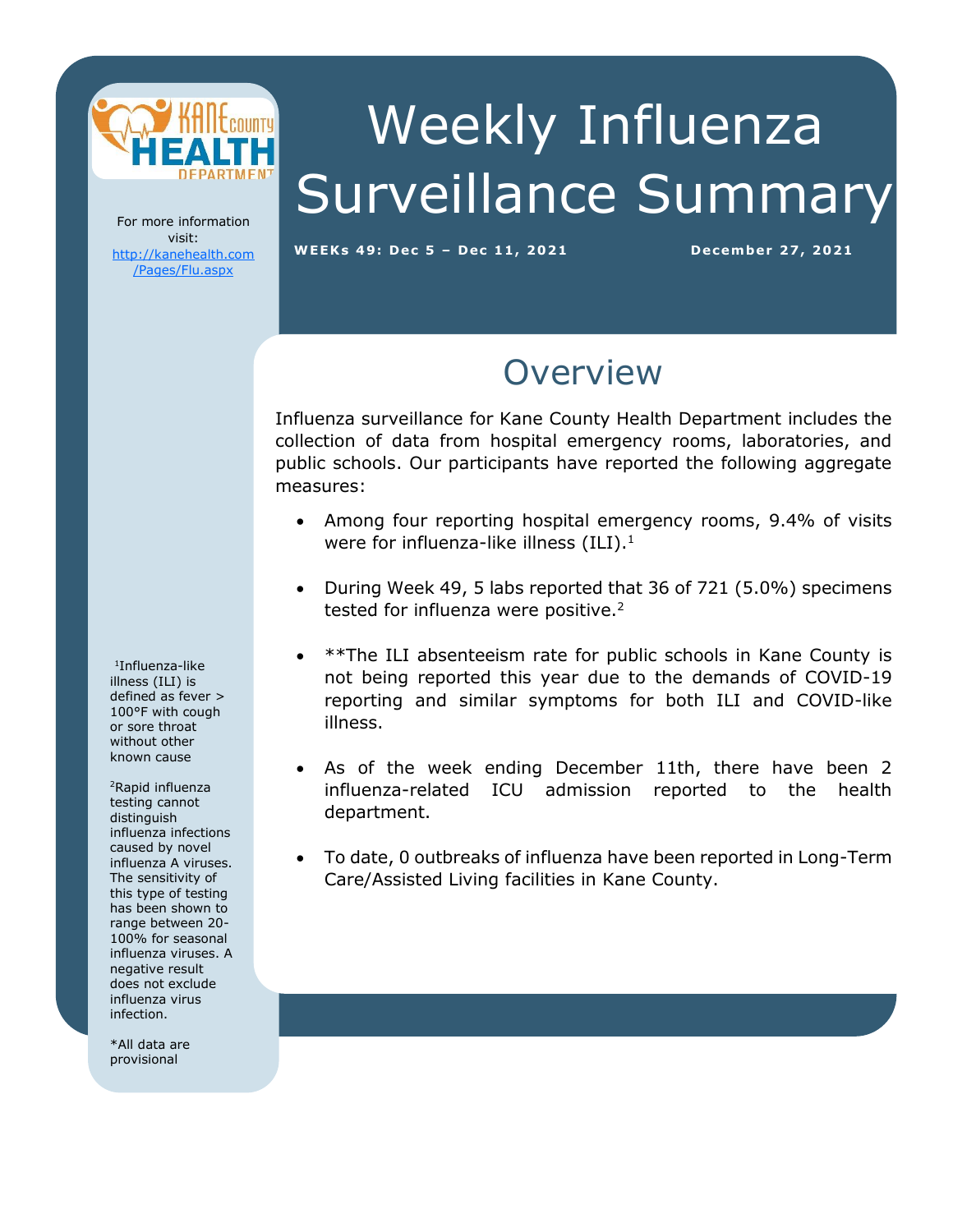

# Weekly Influenza Surveillance Summary

For more information visit: [http://kanehealth.com](http://kanehealth.com/Pages/Flu.aspx) [/Pages/Flu.aspx](http://kanehealth.com/Pages/Flu.aspx)

WEEKs 49: Dec 5 - Dec 11, 2021 **December 27, 2021** 

#### **Overview**

Influenza surveillance for Kane County Health Department includes the collection of data from hospital emergency rooms, laboratories, and public schools. Our participants have reported the following aggregate measures:

- Among four reporting hospital emergency rooms, 9.4% of visits were for influenza-like illness  $(ILI).<sup>1</sup>$
- During Week 49, 5 labs reported that 36 of 721 (5.0%) specimens tested for influenza were positive.<sup>2</sup>
- \*\*The ILI absenteeism rate for public schools in Kane County is not being reported this year due to the demands of COVID-19 reporting and similar symptoms for both ILI and COVID-like illness.
- As of the week ending December 11th, there have been 2 influenza-related ICU admission reported to the health department.
- To date, 0 outbreaks of influenza have been reported in Long-Term Care/Assisted Living facilities in Kane County.

laboratories, individual schools, and school districts that provide the

data that make this monitoring possible.

1 Influenza-like illness (ILI) is defined as fever > 100°F with cough or sore throat without other known cause

<sup>2</sup>Rapid influenza testing cannot distinguish influenza infections caused by novel influenza A viruses. The sensitivity of this type of testing has been shown to range between 20- 100% for seasonal influenza viruses. A negative result does not exclude influenza virus infection.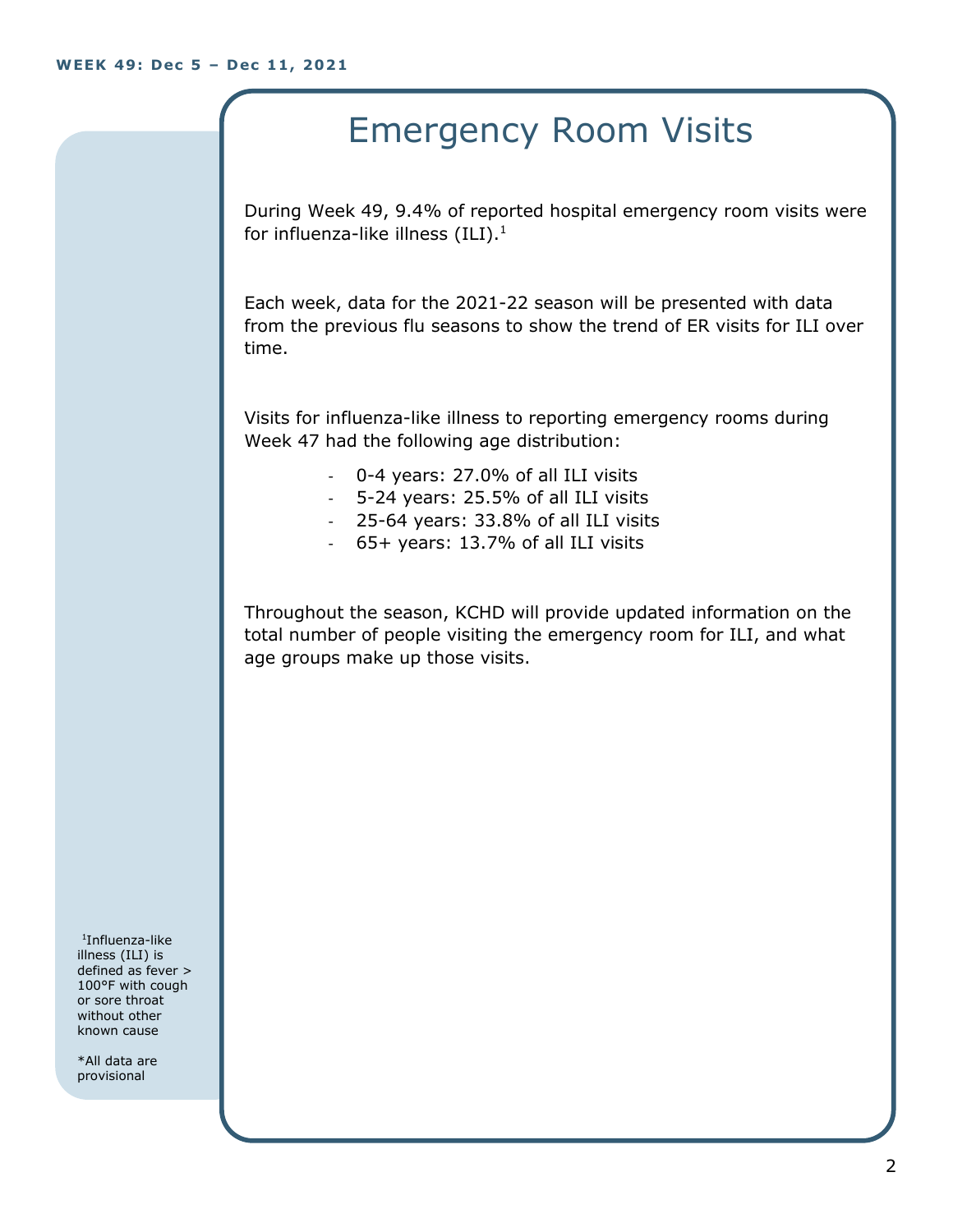### Emergency Room Visits

During Week 49, 9.4% of reported hospital emergency room visits were for influenza-like illness  $(III).<sup>1</sup>$ 

Each week, data for the 2021-22 season will be presented with data from the previous flu seasons to show the trend of ER visits for ILI over time.

Visits for influenza-like illness to reporting emergency rooms during Week 47 had the following age distribution:

- 0-4 years: 27.0% of all ILI visits
- 5-24 years: 25.5% of all ILI visits
- 25-64 years: 33.8% of all ILI visits
- 65+ years: 13.7% of all ILI visits

Throughout the season, KCHD will provide updated information on the total number of people visiting the emergency room for ILI, and what age groups make up those visits.

1 Influenza-like illness (ILI) is defined as fever > 100°F with cough or sore throat without other known cause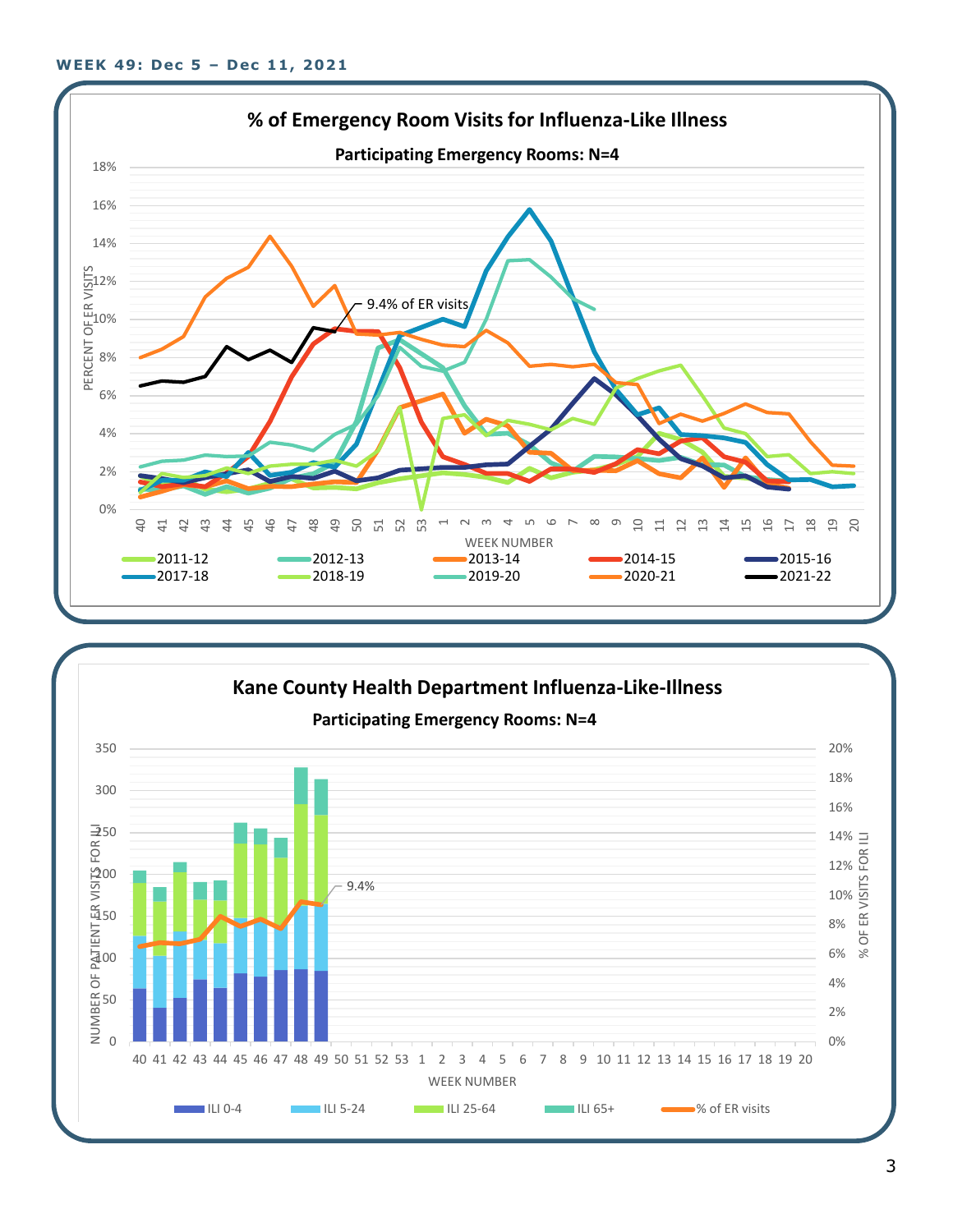

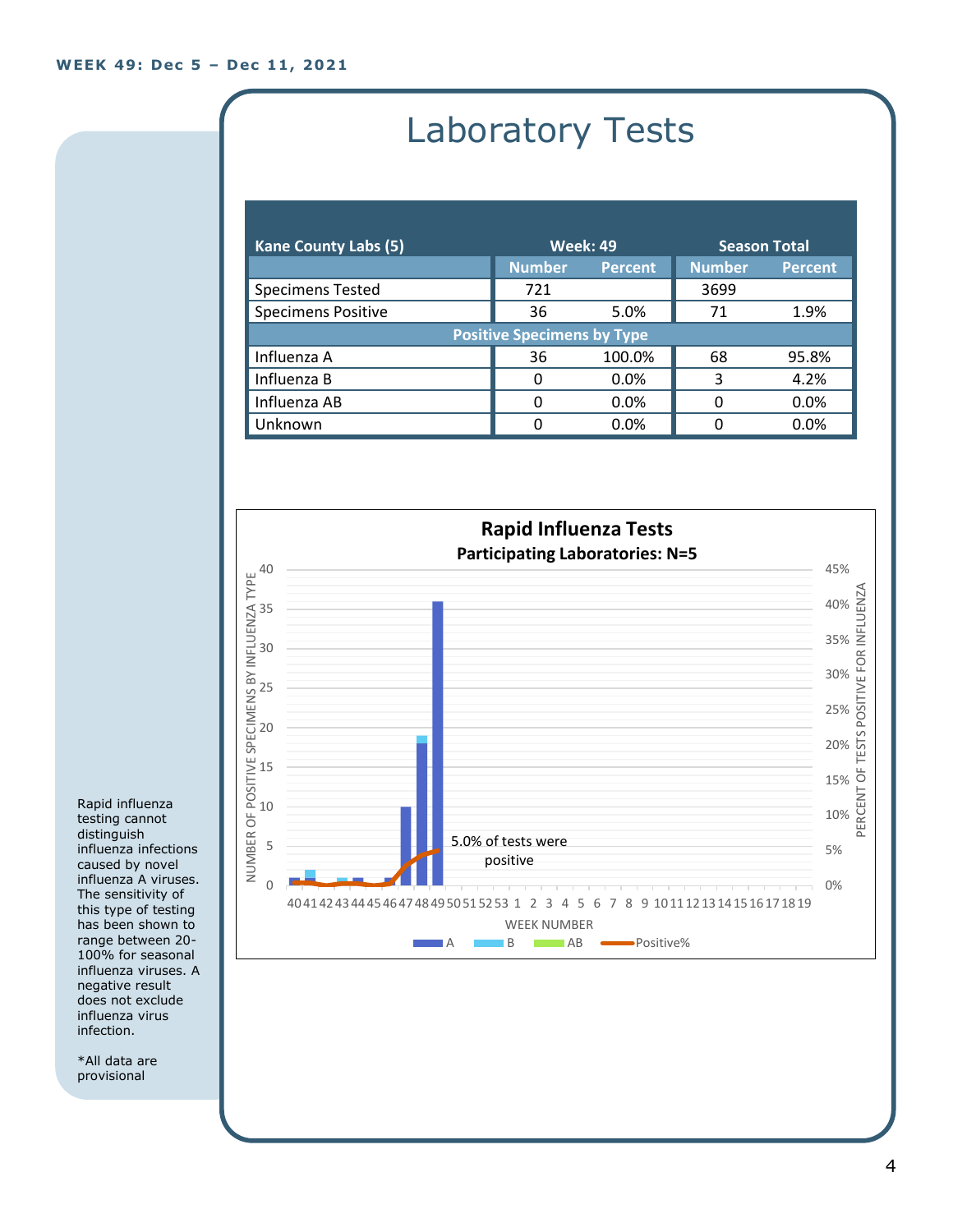## Laboratory Tests

| <b>Kane County Labs (5)</b>       | <b>Week: 49</b> |                | <b>Season Total</b> |                |  |
|-----------------------------------|-----------------|----------------|---------------------|----------------|--|
|                                   | <b>Number</b>   | <b>Percent</b> | <b>Number</b>       | <b>Percent</b> |  |
| <b>Specimens Tested</b>           | 721             |                | 3699                |                |  |
| <b>Specimens Positive</b>         | 36              | 5.0%           | 71                  | 1.9%           |  |
| <b>Positive Specimens by Type</b> |                 |                |                     |                |  |
| Influenza A                       | 36              | 100.0%         | 68                  | 95.8%          |  |
| Influenza B                       | 0               | 0.0%           | 3                   | 4.2%           |  |
| Influenza AB                      | O               | 0.0%           | 0                   | 0.0%           |  |
| Unknown                           | 0               | 0.0%           |                     | 0.0%           |  |



Rapid influenza testing cannot distinguish influenza infections caused by novel influenza A viruses. The sensitivity of this type of testing has been shown to range between 20- 100% for seasonal influenza viruses. A negative result does not exclude influenza virus infection.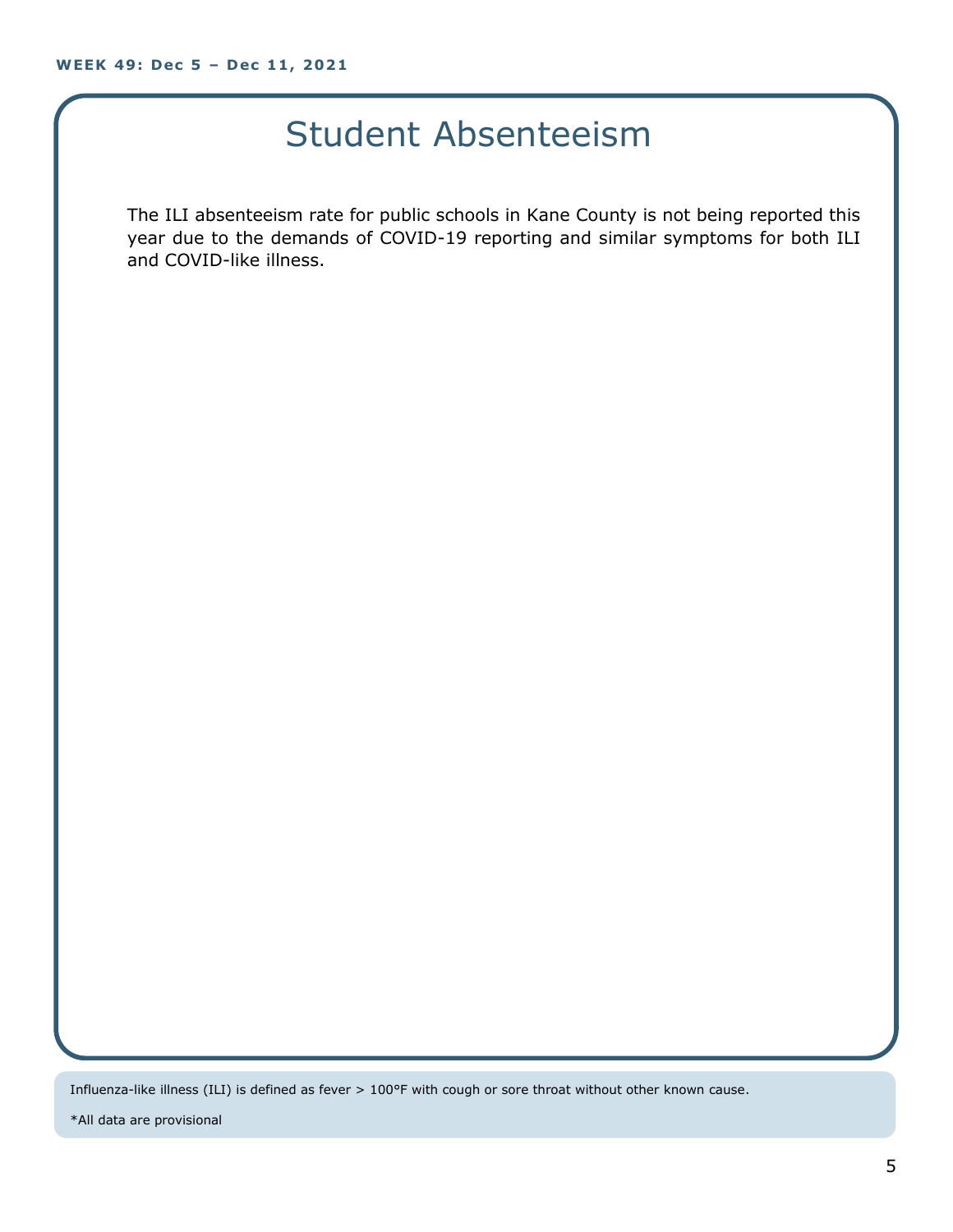#### Student Absenteeism

The ILI absenteeism rate for public schools in Kane County is not being reported this year due to the demands of COVID-19 reporting and similar symptoms for both ILI and COVID-like illness.

Influenza-like illness (ILI) is defined as fever > 100°F with cough or sore throat without other known cause.